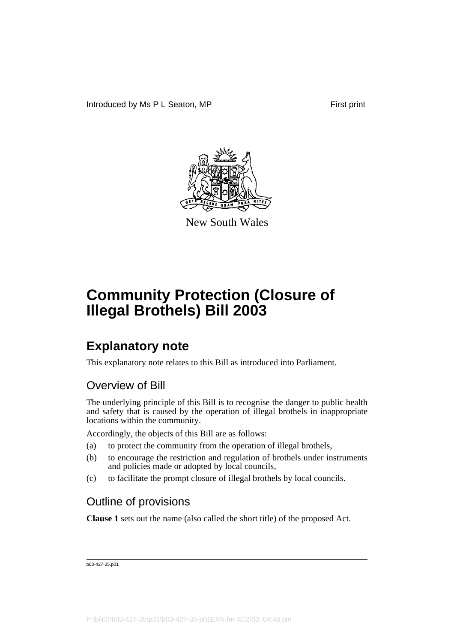

New South Wales

## **Explanatory note**

This explanatory note relates to this Bill as introduced into Parliament.

### Overview of Bill

The underlying principle of this Bill is to recognise the danger to public health and safety that is caused by the operation of illegal brothels in inappropriate locations within the community.

Accordingly, the objects of this Bill are as follows:

- (a) to protect the community from the operation of illegal brothels,
- (b) to encourage the restriction and regulation of brothels under instruments and policies made or adopted by local councils,
- (c) to facilitate the prompt closure of illegal brothels by local councils.

### Outline of provisions

**Clause 1** sets out the name (also called the short title) of the proposed Act.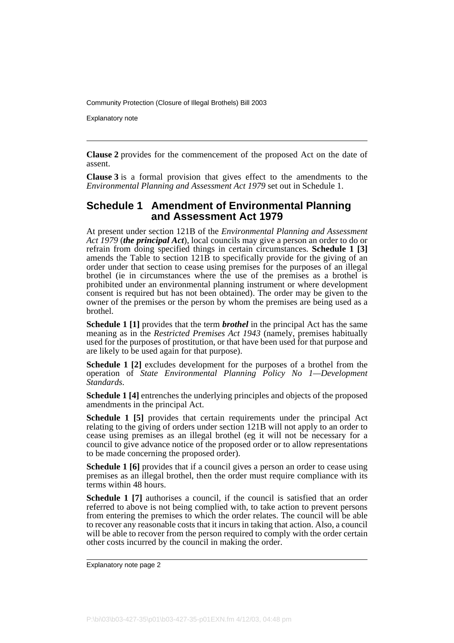Explanatory note

**Clause 2** provides for the commencement of the proposed Act on the date of assent.

**Clause 3** is a formal provision that gives effect to the amendments to the *Environmental Planning and Assessment Act 1979* set out in Schedule 1.

#### **Schedule 1 Amendment of Environmental Planning and Assessment Act 1979**

At present under section 121B of the *Environmental Planning and Assessment Act 1979* (*the principal Act*), local councils may give a person an order to do or refrain from doing specified things in certain circumstances. **Schedule 1 [3]** amends the Table to section 121B to specifically provide for the giving of an order under that section to cease using premises for the purposes of an illegal brothel (ie in circumstances where the use of the premises as a brothel is prohibited under an environmental planning instrument or where development consent is required but has not been obtained). The order may be given to the owner of the premises or the person by whom the premises are being used as a brothel.

**Schedule 1 [1]** provides that the term *brothel* in the principal Act has the same meaning as in the *Restricted Premises Act 1943* (namely, premises habitually used for the purposes of prostitution, or that have been used for that purpose and are likely to be used again for that purpose).

**Schedule 1 [2]** excludes development for the purposes of a brothel from the operation of *State Environmental Planning Policy No 1—Development Standards*.

**Schedule 1 [4]** entrenches the underlying principles and objects of the proposed amendments in the principal Act.

**Schedule 1 [5]** provides that certain requirements under the principal Act relating to the giving of orders under section 121B will not apply to an order to cease using premises as an illegal brothel (eg it will not be necessary for a council to give advance notice of the proposed order or to allow representations to be made concerning the proposed order).

**Schedule 1 [6]** provides that if a council gives a person an order to cease using premises as an illegal brothel, then the order must require compliance with its terms within 48 hours.

**Schedule 1 [7]** authorises a council, if the council is satisfied that an order referred to above is not being complied with, to take action to prevent persons from entering the premises to which the order relates. The council will be able to recover any reasonable costs that it incurs in taking that action. Also, a council will be able to recover from the person required to comply with the order certain other costs incurred by the council in making the order.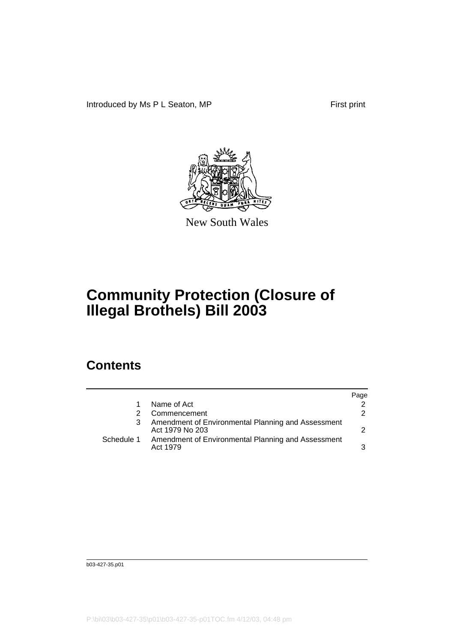Introduced by Ms P L Seaton, MP First print



New South Wales

# **Community Protection (Closure of Illegal Brothels) Bill 2003**

### **Contents**

|            |                                                                       | Page |
|------------|-----------------------------------------------------------------------|------|
|            | Name of Act                                                           |      |
|            | Commencement                                                          |      |
|            | Amendment of Environmental Planning and Assessment<br>Act 1979 No 203 |      |
| Schedule 1 | Amendment of Environmental Planning and Assessment<br>Act 1979        |      |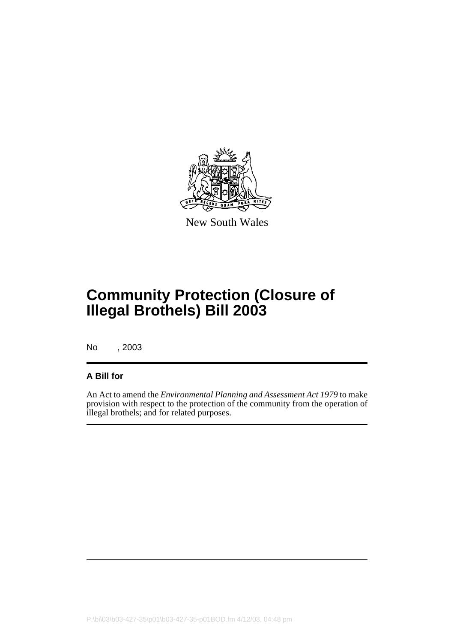

New South Wales

# **Community Protection (Closure of Illegal Brothels) Bill 2003**

No , 2003

#### **A Bill for**

An Act to amend the *Environmental Planning and Assessment Act 1979* to make provision with respect to the protection of the community from the operation of illegal brothels; and for related purposes.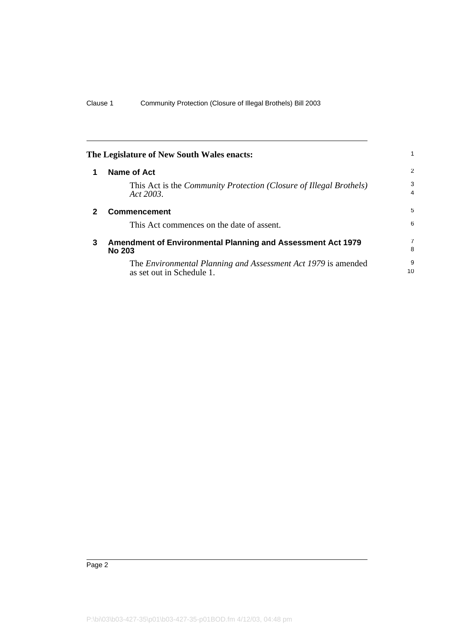<span id="page-5-2"></span><span id="page-5-1"></span><span id="page-5-0"></span>

| The Legislature of New South Wales enacts: |                                                                                                 |                     |
|--------------------------------------------|-------------------------------------------------------------------------------------------------|---------------------|
|                                            | <b>Name of Act</b>                                                                              | 2                   |
|                                            | This Act is the <i>Community Protection</i> ( <i>Closure of Illegal Brothels</i> )<br>Act 2003. | 3<br>$\overline{4}$ |
| 2                                          | <b>Commencement</b>                                                                             |                     |
|                                            | This Act commences on the date of assent.                                                       | 6                   |
| 3                                          | <b>Amendment of Environmental Planning and Assessment Act 1979</b><br><b>No 203</b>             |                     |
|                                            | The Environmental Planning and Assessment Act 1979 is amended<br>as set out in Schedule 1.      | 9<br>10             |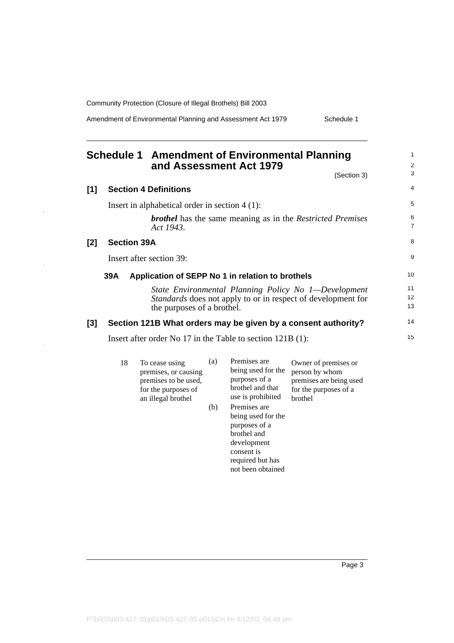Amendment of Environmental Planning and Assessment Act 1979 Schedule 1

#### <span id="page-6-0"></span>**Schedule 1 Amendment of Environmental Planning and Assessment Act 1979** (Section 3) **[1] Section 4 Definitions**

| .   | <b>OCONON &amp; DENNINGIIS</b>                                                                                                                     |                     |
|-----|----------------------------------------------------------------------------------------------------------------------------------------------------|---------------------|
|     | Insert in alphabetical order in section $4(1)$ :                                                                                                   | 5                   |
|     | <b>brothel</b> has the same meaning as in the Restricted Premises<br>Act 1943.                                                                     | 6<br>$\overline{7}$ |
| [2] | <b>Section 39A</b>                                                                                                                                 | 8                   |
|     | Insert after section 39:                                                                                                                           | 9                   |
|     | Application of SEPP No 1 in relation to brothels<br>39A                                                                                            | 10                  |
|     | State Environmental Planning Policy No 1-Development<br>Standards does not apply to or in respect of development for<br>the purposes of a brothel. | 11<br>12<br>13      |
| [3] | Section 121B What orders may be given by a consent authority?                                                                                      | 14                  |
|     | Insert after order No 17 in the Table to section $121B(1)$ :                                                                                       | 15                  |

| 18 | To cease using<br>premises, or causing<br>premises to be used,<br>for the purposes of<br>an illegal brothel | (a) | Premises are<br>being used for the<br>purposes of a<br>brothel and that<br>use is prohibited | Owner of premises or<br>person by whom<br>premises are being used<br>for the purposes of a<br>brothel |
|----|-------------------------------------------------------------------------------------------------------------|-----|----------------------------------------------------------------------------------------------|-------------------------------------------------------------------------------------------------------|
|    |                                                                                                             | (b) | Premises are<br>being used for the<br>purposes of a<br>brothel and<br>development            |                                                                                                       |

consent is required but has not been obtained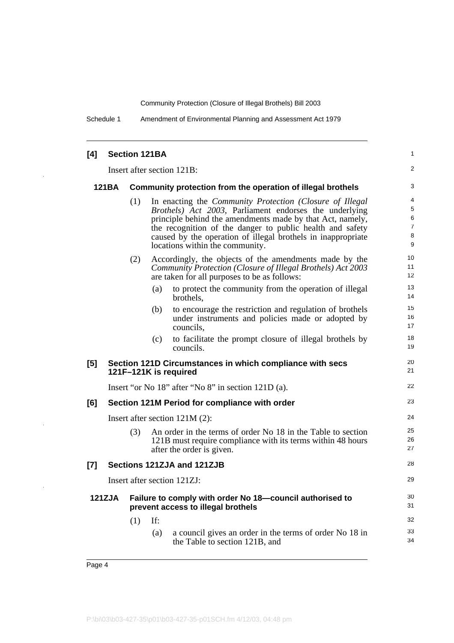Schedule 1 Amendment of Environmental Planning and Assessment Act 1979

| [4]    |                                                                             |     | <b>Section 121BA</b>                                                                                                                                                                                                                                                                                                                                   | 1                          |
|--------|-----------------------------------------------------------------------------|-----|--------------------------------------------------------------------------------------------------------------------------------------------------------------------------------------------------------------------------------------------------------------------------------------------------------------------------------------------------------|----------------------------|
|        |                                                                             |     | Insert after section 121B:                                                                                                                                                                                                                                                                                                                             | 2                          |
|        | <b>121BA</b><br>Community protection from the operation of illegal brothels |     |                                                                                                                                                                                                                                                                                                                                                        | 3                          |
|        |                                                                             | (1) | In enacting the <i>Community Protection (Closure of Illegal</i><br>Brothels) Act 2003, Parliament endorses the underlying<br>principle behind the amendments made by that Act, namely,<br>the recognition of the danger to public health and safety<br>caused by the operation of illegal brothels in inappropriate<br>locations within the community. | 4<br>5<br>6<br>7<br>8<br>9 |
|        |                                                                             | (2) | Accordingly, the objects of the amendments made by the<br>Community Protection (Closure of Illegal Brothels) Act 2003<br>are taken for all purposes to be as follows:                                                                                                                                                                                  | 10<br>11<br>12             |
|        |                                                                             |     | to protect the community from the operation of illegal<br>(a)<br>brothels,                                                                                                                                                                                                                                                                             | 13<br>14                   |
|        |                                                                             |     | to encourage the restriction and regulation of brothels<br>(b)<br>under instruments and policies made or adopted by<br>councils,                                                                                                                                                                                                                       | 15<br>16<br>17             |
|        |                                                                             |     | to facilitate the prompt closure of illegal brothels by<br>(c)<br>councils.                                                                                                                                                                                                                                                                            | 18<br>19                   |
| [5]    |                                                                             |     | Section 121D Circumstances in which compliance with secs<br>121F-121K is required                                                                                                                                                                                                                                                                      | 20<br>21                   |
|        | Insert "or No 18" after "No 8" in section 121D (a).                         |     |                                                                                                                                                                                                                                                                                                                                                        | 22                         |
| [6]    | Section 121M Period for compliance with order                               |     |                                                                                                                                                                                                                                                                                                                                                        | 23                         |
|        |                                                                             |     | Insert after section $121M(2)$ :                                                                                                                                                                                                                                                                                                                       | 24                         |
|        |                                                                             | (3) | An order in the terms of order No 18 in the Table to section<br>121B must require compliance with its terms within 48 hours<br>after the order is given.                                                                                                                                                                                               | 25<br>26<br>27             |
| $[7]$  |                                                                             |     | Sections 121ZJA and 121ZJB                                                                                                                                                                                                                                                                                                                             | 28                         |
|        |                                                                             |     | Insert after section 121ZJ:                                                                                                                                                                                                                                                                                                                            | 29                         |
| 121ZJA |                                                                             |     | Failure to comply with order No 18-council authorised to<br>prevent access to illegal brothels                                                                                                                                                                                                                                                         | 30<br>31                   |
|        |                                                                             | (1) | If:                                                                                                                                                                                                                                                                                                                                                    | 32                         |
|        |                                                                             |     | a council gives an order in the terms of order No 18 in<br>(a)<br>the Table to section 121B, and                                                                                                                                                                                                                                                       | 33<br>34                   |

J.

 $\ddot{\phantom{1}}$